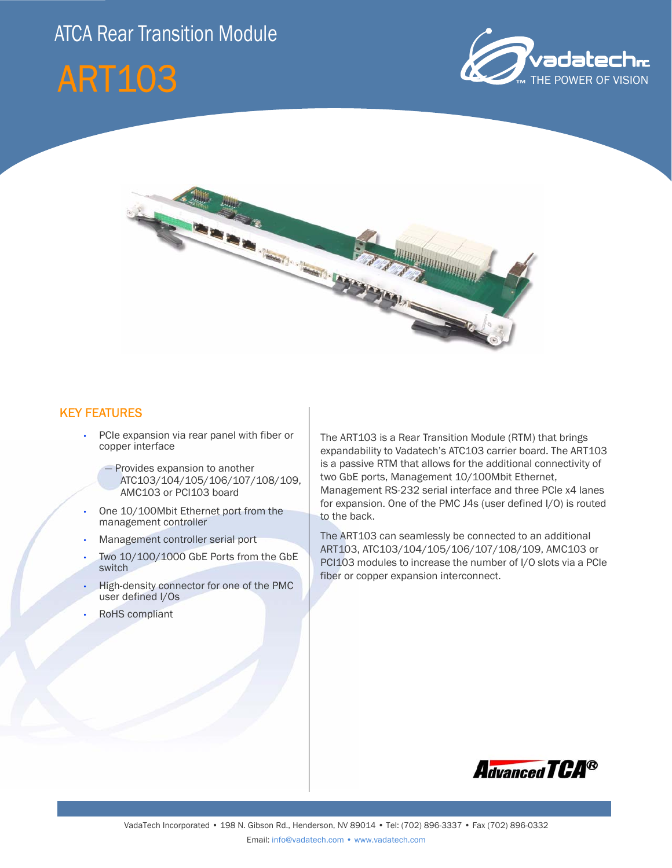# ATCA Rear Transition Module







### KEY FEATURES

- PCIe expansion via rear panel with fiber or copper interface
	- Provides expansion to another ATC103/104/105/106/107/108/109, AMC103 or PCI103 board
- One 10/100Mbit Ethernet port from the management controller
- Management controller serial port
- Two 10/100/1000 GbE Ports from the GbE switch
- High-density connector for one of the PMC user defined I/Os
- RoHS compliant

The ART103 is a Rear Transition Module (RTM) that brings expandability to Vadatech's ATC103 carrier board. The ART103 is a passive RTM that allows for the additional connectivity of two GbE ports, Management 10/100Mbit Ethernet, Management RS-232 serial interface and three PCIe x4 lanes for expansion. One of the PMC J4s (user defined I/O) is routed to the back.

The ART103 can seamlessly be connected to an additional ART103, ATC103/104/105/106/107/108/109, AMC103 or PCI103 modules to increase the number of I/O slots via a PCIe fiber or copper expansion interconnect.

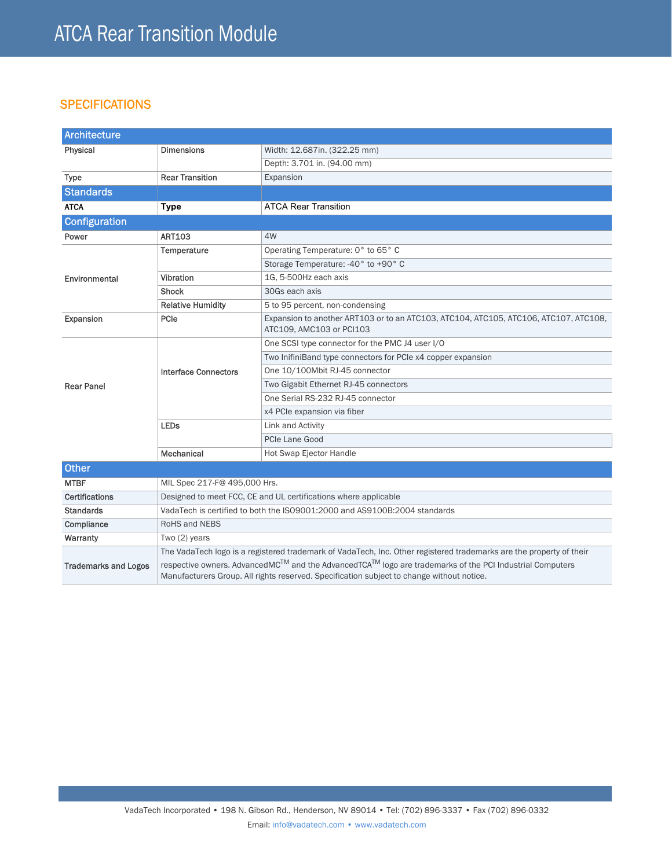## **SPECIFICATIONS**

| Architecture                |                                                                                                                     |                                                                                                                                                                                                      |
|-----------------------------|---------------------------------------------------------------------------------------------------------------------|------------------------------------------------------------------------------------------------------------------------------------------------------------------------------------------------------|
| Physical                    | <b>Dimensions</b>                                                                                                   | Width: 12.687in. (322.25 mm)                                                                                                                                                                         |
|                             |                                                                                                                     | Depth: 3.701 in. (94.00 mm)                                                                                                                                                                          |
| <b>Type</b>                 | <b>Rear Transition</b>                                                                                              | Expansion                                                                                                                                                                                            |
| <b>Standards</b>            |                                                                                                                     |                                                                                                                                                                                                      |
| <b>ATCA</b>                 | <b>Type</b>                                                                                                         | <b>ATCA Rear Transition</b>                                                                                                                                                                          |
| Configuration               |                                                                                                                     |                                                                                                                                                                                                      |
| Power                       | <b>ART103</b>                                                                                                       | 4W                                                                                                                                                                                                   |
| Environmental               | Temperature                                                                                                         | Operating Temperature: 0° to 65° C                                                                                                                                                                   |
|                             |                                                                                                                     | Storage Temperature: -40° to +90° C                                                                                                                                                                  |
|                             | Vibration                                                                                                           | 1G, 5-500Hz each axis                                                                                                                                                                                |
|                             | Shock                                                                                                               | 30Gs each axis                                                                                                                                                                                       |
|                             | <b>Relative Humidity</b>                                                                                            | 5 to 95 percent, non-condensing                                                                                                                                                                      |
| Expansion                   | PCIe                                                                                                                | Expansion to another ART103 or to an ATC103, ATC104, ATC105, ATC106, ATC107, ATC108,<br>ATC109. AMC103 or PCI103                                                                                     |
| <b>Rear Panel</b>           | <b>Interface Connectors</b>                                                                                         | One SCSI type connector for the PMC J4 user I/O                                                                                                                                                      |
|                             |                                                                                                                     | Two InifiniBand type connectors for PCIe x4 copper expansion                                                                                                                                         |
|                             |                                                                                                                     | One 10/100Mbit RJ-45 connector                                                                                                                                                                       |
|                             |                                                                                                                     | Two Gigabit Ethernet RJ-45 connectors                                                                                                                                                                |
|                             |                                                                                                                     | One Serial RS-232 RJ-45 connector                                                                                                                                                                    |
|                             |                                                                                                                     | x4 PCIe expansion via fiber                                                                                                                                                                          |
|                             | <b>LEDs</b>                                                                                                         | Link and Activity                                                                                                                                                                                    |
|                             |                                                                                                                     | PCIe Lane Good                                                                                                                                                                                       |
|                             | Mechanical                                                                                                          | Hot Swap Ejector Handle                                                                                                                                                                              |
| Other                       |                                                                                                                     |                                                                                                                                                                                                      |
| <b>MTBF</b>                 | MIL Spec 217-F@ 495,000 Hrs.                                                                                        |                                                                                                                                                                                                      |
| <b>Certifications</b>       | Designed to meet FCC, CE and UL certifications where applicable                                                     |                                                                                                                                                                                                      |
| <b>Standards</b>            | VadaTech is certified to both the ISO9001:2000 and AS9100B:2004 standards                                           |                                                                                                                                                                                                      |
| Compliance                  | <b>RoHS and NEBS</b>                                                                                                |                                                                                                                                                                                                      |
| Warranty                    | Two (2) years                                                                                                       |                                                                                                                                                                                                      |
|                             | The VadaTech logo is a registered trademark of VadaTech, Inc. Other registered trademarks are the property of their |                                                                                                                                                                                                      |
| <b>Trademarks and Logos</b> |                                                                                                                     | respective owners. AdvancedMC™ and the AdvancedTCA™ logo are trademarks of the PCI Industrial Computers<br>Manufacturers Group. All rights reserved. Specification subject to change without notice. |